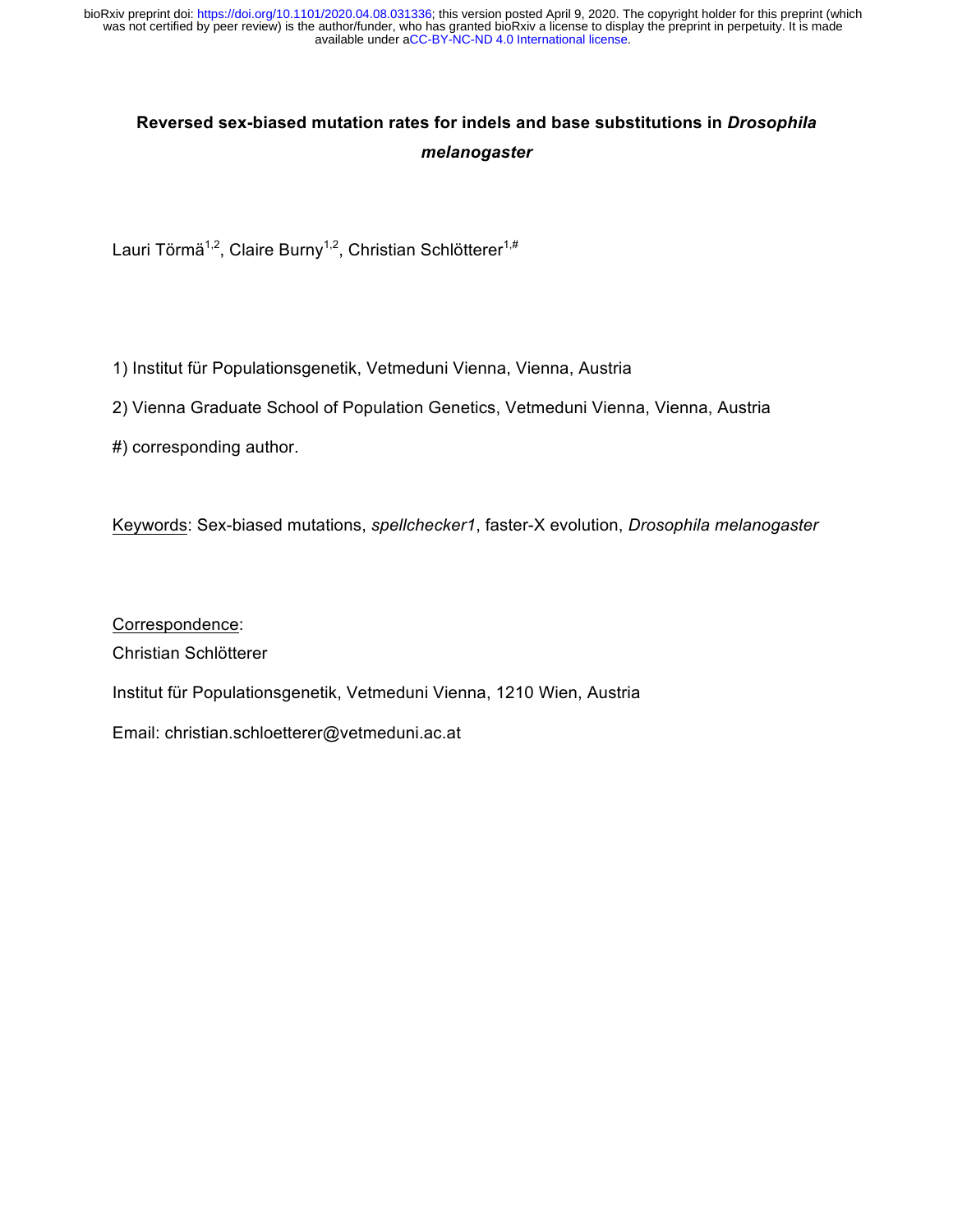# **Reversed sex-biased mutation rates for indels and base substitutions in** *Drosophila melanogaster*

Lauri Törmä<sup>1,2</sup>, Claire Burny<sup>1,2</sup>, Christian Schlötterer<sup>1,#</sup>

1) Institut für Populationsgenetik, Vetmeduni Vienna, Vienna, Austria

2) Vienna Graduate School of Population Genetics, Vetmeduni Vienna, Vienna, Austria

#) corresponding author.

Keywords: Sex-biased mutations, *spellchecker1*, faster-X evolution, *Drosophila melanogaster*

Correspondence: Christian Schlötterer Institut für Populationsgenetik, Vetmeduni Vienna, 1210 Wien, Austria Email: christian.schloetterer@vetmeduni.ac.at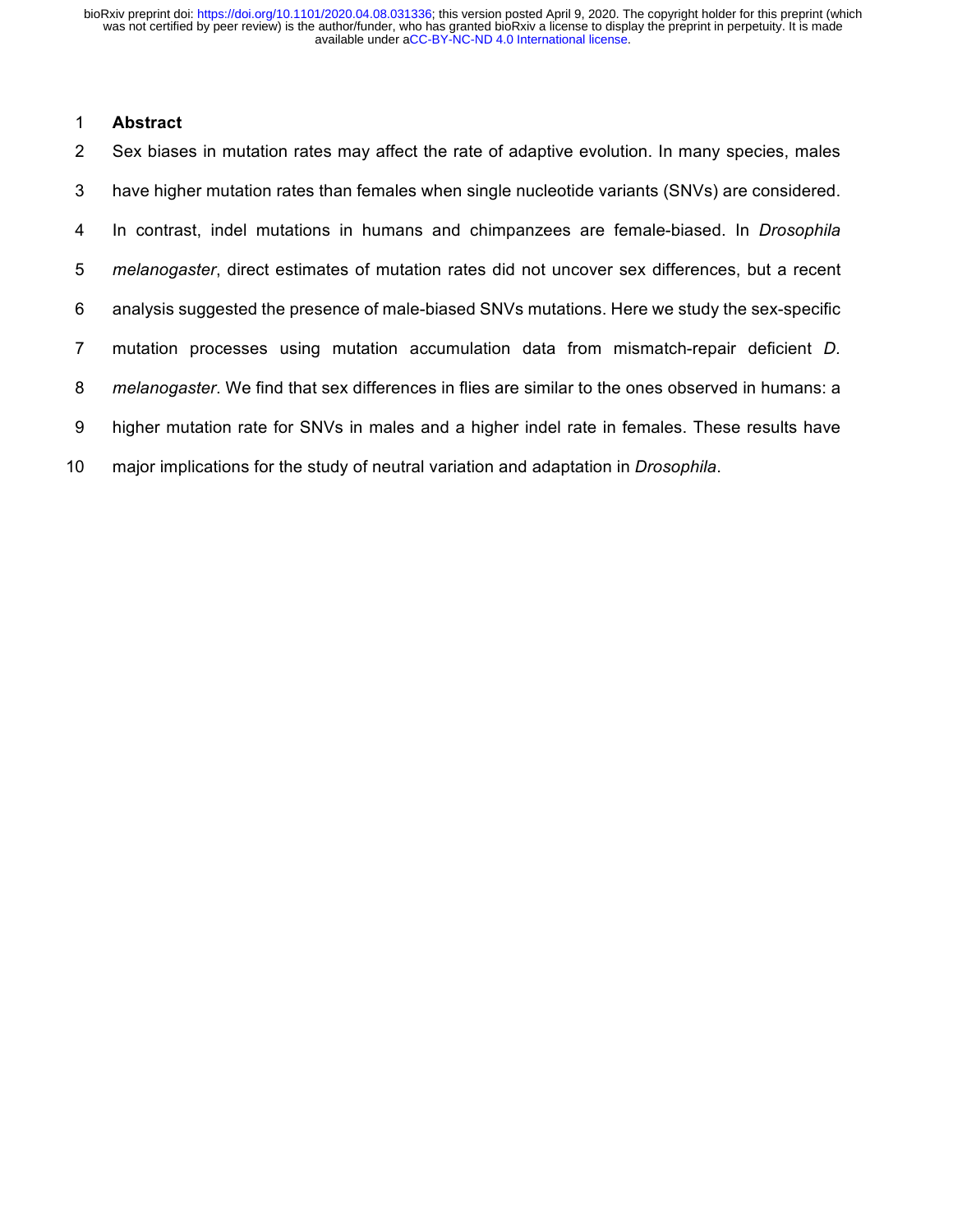#### **Abstract**

 Sex biases in mutation rates may affect the rate of adaptive evolution. In many species, males have higher mutation rates than females when single nucleotide variants (SNVs) are considered. In contrast, indel mutations in humans and chimpanzees are female-biased. In *Drosophila melanogaster*, direct estimates of mutation rates did not uncover sex differences, but a recent analysis suggested the presence of male-biased SNVs mutations. Here we study the sex-specific mutation processes using mutation accumulation data from mismatch-repair deficient *D. melanogaster*. We find that sex differences in flies are similar to the ones observed in humans: a higher mutation rate for SNVs in males and a higher indel rate in females. These results have major implications for the study of neutral variation and adaptation in *Drosophila*.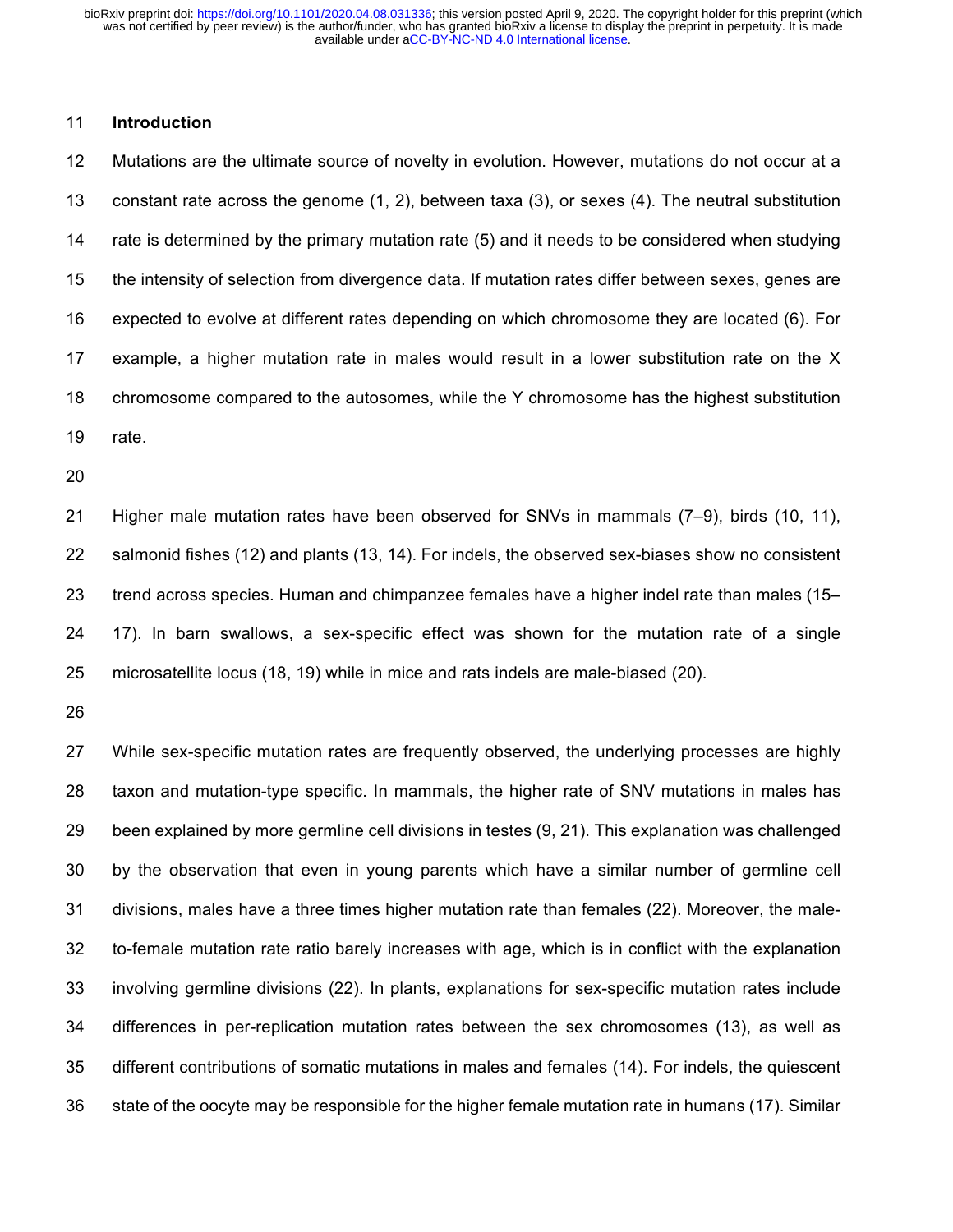#### **Introduction**

 Mutations are the ultimate source of novelty in evolution. However, mutations do not occur at a constant rate across the genome (1, 2), between taxa (3), or sexes (4). The neutral substitution rate is determined by the primary mutation rate (5) and it needs to be considered when studying the intensity of selection from divergence data. If mutation rates differ between sexes, genes are expected to evolve at different rates depending on which chromosome they are located (6). For example, a higher mutation rate in males would result in a lower substitution rate on the X chromosome compared to the autosomes, while the Y chromosome has the highest substitution rate.

 Higher male mutation rates have been observed for SNVs in mammals (7–9), birds (10, 11), salmonid fishes (12) and plants (13, 14). For indels, the observed sex-biases show no consistent trend across species. Human and chimpanzee females have a higher indel rate than males (15– 17). In barn swallows, a sex-specific effect was shown for the mutation rate of a single microsatellite locus (18, 19) while in mice and rats indels are male-biased (20).

 While sex-specific mutation rates are frequently observed, the underlying processes are highly taxon and mutation-type specific. In mammals, the higher rate of SNV mutations in males has been explained by more germline cell divisions in testes (9, 21). This explanation was challenged by the observation that even in young parents which have a similar number of germline cell divisions, males have a three times higher mutation rate than females (22). Moreover, the male- to-female mutation rate ratio barely increases with age, which is in conflict with the explanation involving germline divisions (22). In plants, explanations for sex-specific mutation rates include differences in per-replication mutation rates between the sex chromosomes (13), as well as different contributions of somatic mutations in males and females (14). For indels, the quiescent state of the oocyte may be responsible for the higher female mutation rate in humans (17). Similar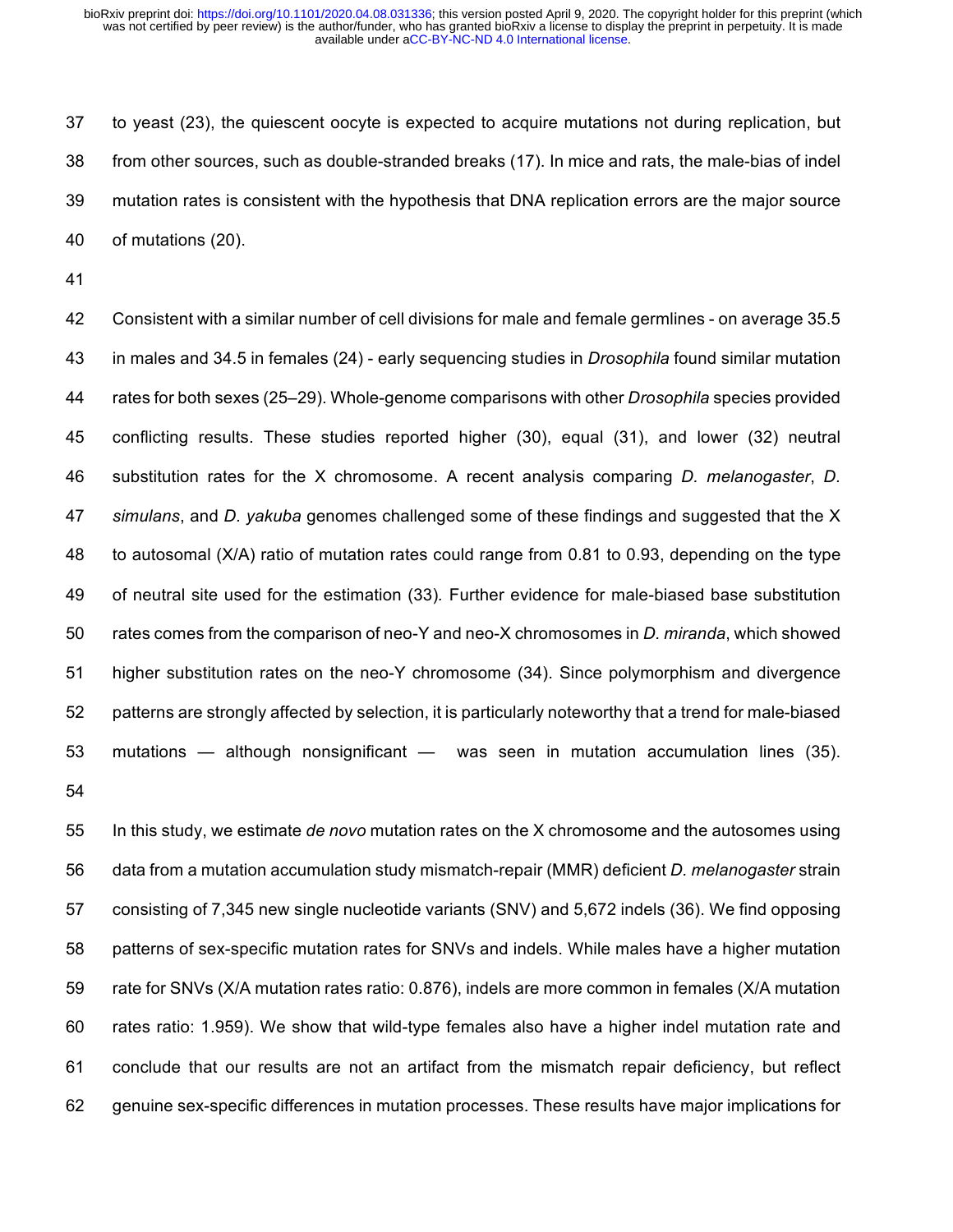to yeast (23), the quiescent oocyte is expected to acquire mutations not during replication, but from other sources, such as double-stranded breaks (17). In mice and rats, the male-bias of indel mutation rates is consistent with the hypothesis that DNA replication errors are the major source of mutations (20).

 Consistent with a similar number of cell divisions for male and female germlines - on average 35.5 in males and 34.5 in females (24) - early sequencing studies in *Drosophila* found similar mutation rates for both sexes (25–29). Whole-genome comparisons with other *Drosophila* species provided conflicting results. These studies reported higher (30), equal (31), and lower (32) neutral substitution rates for the X chromosome. A recent analysis comparing *D. melanogaster*, *D. simulans*, and *D. yakuba* genomes challenged some of these findings and suggested that the X to autosomal (X/A) ratio of mutation rates could range from 0.81 to 0.93, depending on the type of neutral site used for the estimation (33)*.* Further evidence for male-biased base substitution rates comes from the comparison of neo-Y and neo-X chromosomes in *D. miranda*, which showed higher substitution rates on the neo-Y chromosome (34). Since polymorphism and divergence patterns are strongly affected by selection, it is particularly noteworthy that a trend for male-biased mutations — although nonsignificant — was seen in mutation accumulation lines (35). 

 In this study, we estimate *de novo* mutation rates on the X chromosome and the autosomes using data from a mutation accumulation study mismatch-repair (MMR) deficient *D. melanogaster* strain consisting of 7,345 new single nucleotide variants (SNV) and 5,672 indels (36). We find opposing patterns of sex-specific mutation rates for SNVs and indels. While males have a higher mutation rate for SNVs (X/A mutation rates ratio: 0.876), indels are more common in females (X/A mutation rates ratio: 1.959). We show that wild-type females also have a higher indel mutation rate and conclude that our results are not an artifact from the mismatch repair deficiency, but reflect genuine sex-specific differences in mutation processes. These results have major implications for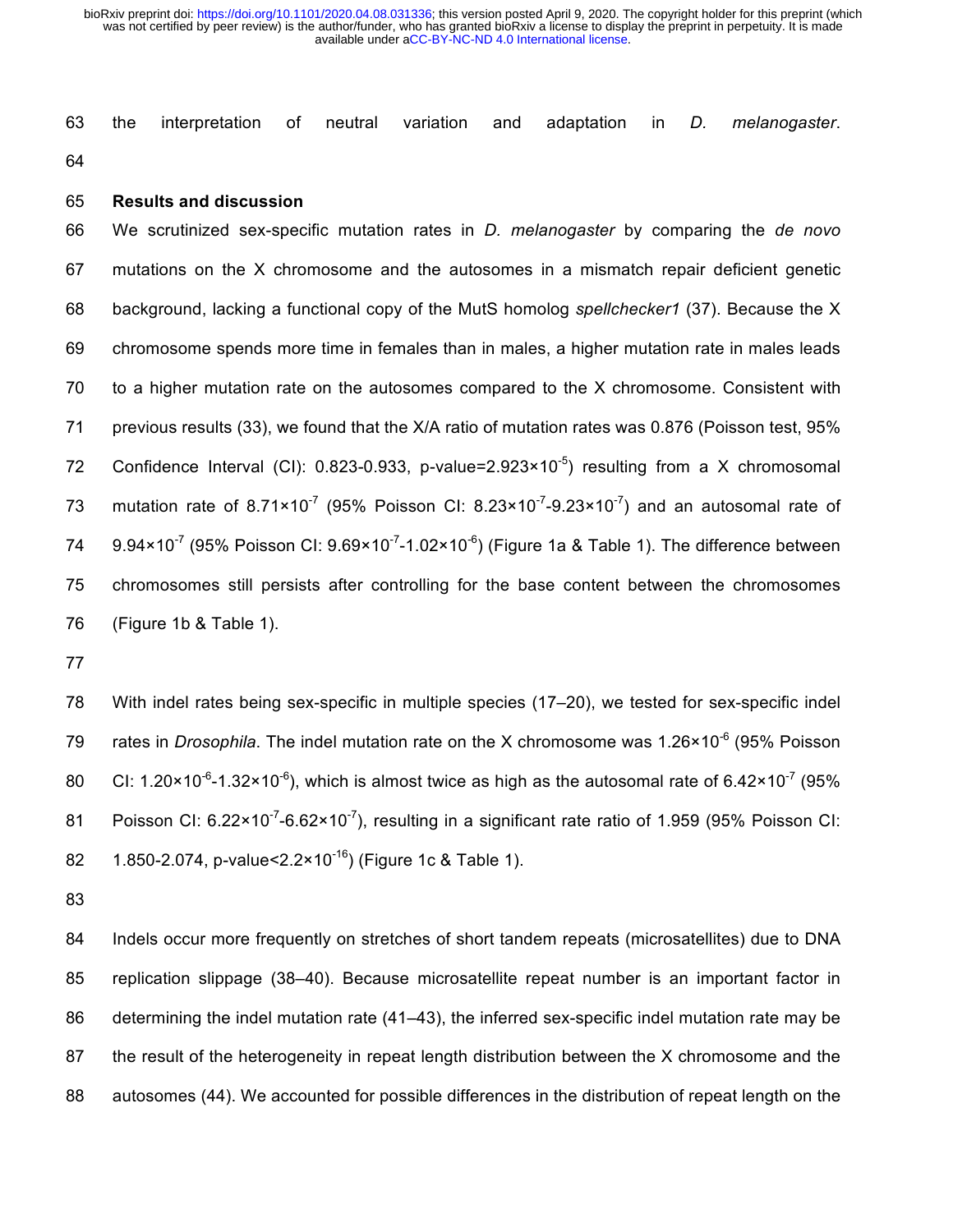the interpretation of neutral variation and adaptation in *D. melanogaster*. 

**Results and discussion**

 We scrutinized sex-specific mutation rates in *D. melanogaster* by comparing the *de novo*  mutations on the X chromosome and the autosomes in a mismatch repair deficient genetic background, lacking a functional copy of the MutS homolog *spellchecker1* (37). Because the X chromosome spends more time in females than in males, a higher mutation rate in males leads to a higher mutation rate on the autosomes compared to the X chromosome. Consistent with previous results (33), we found that the X/A ratio of mutation rates was 0.876 (Poisson test, 95% 72 Confidence Interval (CI): 0.823-0.933, p-value=2.923×10<sup>-5</sup>) resulting from a X chromosomal 73 mutation rate of 8.71×10<sup>-7</sup> (95% Poisson CI: 8.23×10<sup>-7</sup>-9.23×10<sup>-7</sup>) and an autosomal rate of  $9.94 \times 10^{-7}$  (95% Poisson CI:  $9.69 \times 10^{-7}$ -1.02×10<sup>-6</sup>) (Figure 1a & Table 1). The difference between chromosomes still persists after controlling for the base content between the chromosomes (Figure 1b & Table 1).

 With indel rates being sex-specific in multiple species (17–20), we tested for sex-specific indel 79 rates in *Drosophila*. The indel mutation rate on the X chromosome was 1.26×10<sup>-6</sup> (95% Poisson 80 CI: 1.20×10<sup>-6</sup>-1.32×10<sup>-6</sup>), which is almost twice as high as the autosomal rate of 6.42×10<sup>-7</sup> (95% 81 Poisson CI:  $6.22 \times 10^{-7}$ -6.62 $\times 10^{-7}$ ), resulting in a significant rate ratio of 1.959 (95% Poisson CI: 82 1.850-2.074, p-value< $2.2 \times 10^{-16}$ ) (Figure 1c & Table 1).

 Indels occur more frequently on stretches of short tandem repeats (microsatellites) due to DNA replication slippage (38–40). Because microsatellite repeat number is an important factor in 86 determining the indel mutation rate (41–43), the inferred sex-specific indel mutation rate may be the result of the heterogeneity in repeat length distribution between the X chromosome and the autosomes (44). We accounted for possible differences in the distribution of repeat length on the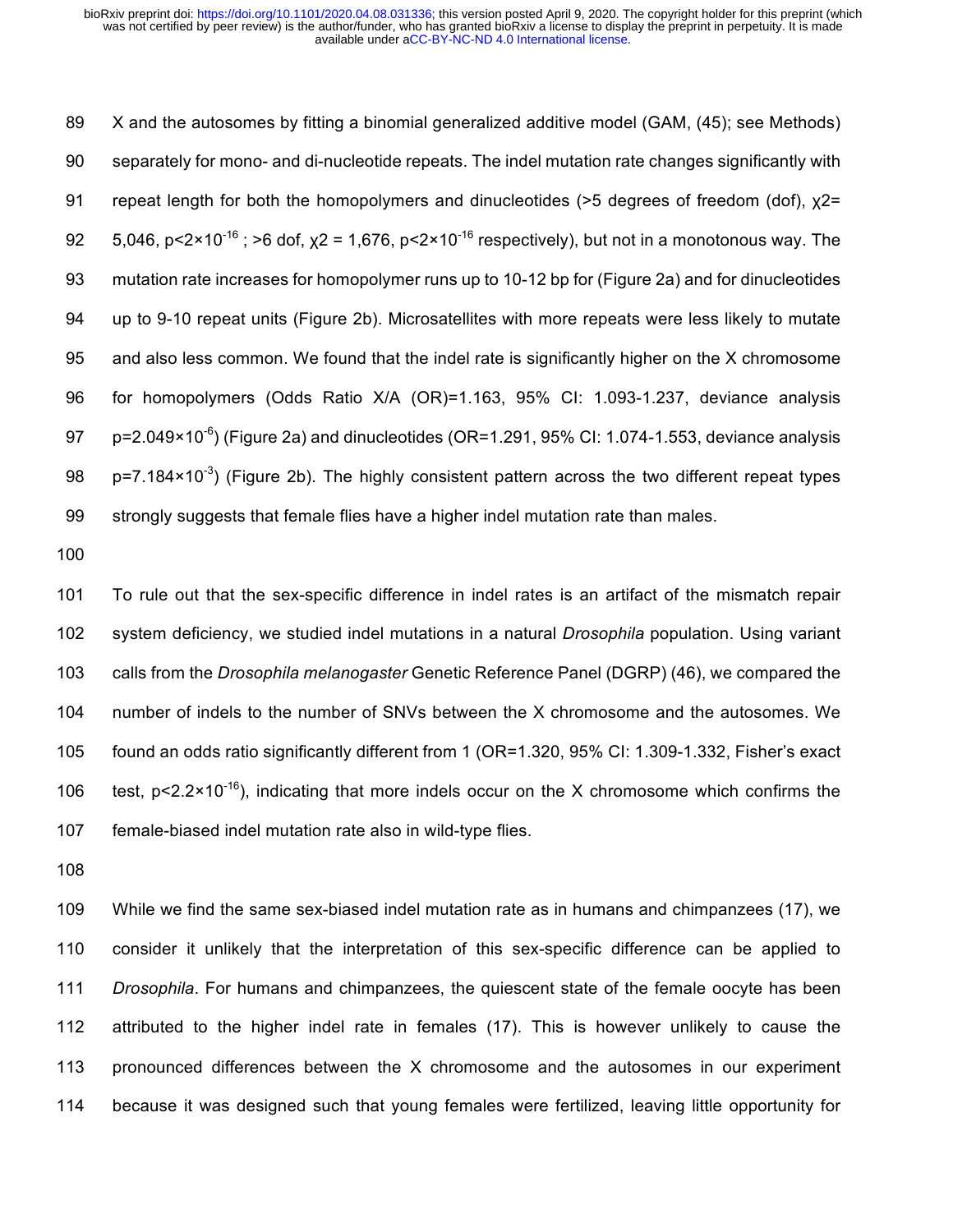X and the autosomes by fitting a binomial generalized additive model (GAM, (45); see Methods) separately for mono- and di-nucleotide repeats. The indel mutation rate changes significantly with repeat length for both the homopolymers and dinucleotides (>5 degrees of freedom (dof), χ2= 92 5,046, p<2×10<sup>-16</sup>; >6 dof,  $x^2$  = 1,676, p<2×10<sup>-16</sup> respectively), but not in a monotonous way. The mutation rate increases for homopolymer runs up to 10-12 bp for (Figure 2a) and for dinucleotides up to 9-10 repeat units (Figure 2b). Microsatellites with more repeats were less likely to mutate and also less common. We found that the indel rate is significantly higher on the X chromosome for homopolymers (Odds Ratio X/A (OR)=1.163, 95% CI: 1.093-1.237, deviance analysis  $p=2.049\times10^{-6}$  (Figure 2a) and dinucleotides (OR=1.291, 95% CI: 1.074-1.553, deviance analysis 98 p=7.184×10<sup>-3</sup>) (Figure 2b). The highly consistent pattern across the two different repeat types strongly suggests that female flies have a higher indel mutation rate than males.

 To rule out that the sex-specific difference in indel rates is an artifact of the mismatch repair system deficiency, we studied indel mutations in a natural *Drosophila* population. Using variant calls from the *Drosophila melanogaster* Genetic Reference Panel (DGRP) (46), we compared the number of indels to the number of SNVs between the X chromosome and the autosomes. We found an odds ratio significantly different from 1 (OR=1.320, 95% CI: 1.309-1.332, Fisher's exact 106 test, p<2.2×10<sup>-16</sup>), indicating that more indels occur on the X chromosome which confirms the female-biased indel mutation rate also in wild-type flies.

 While we find the same sex-biased indel mutation rate as in humans and chimpanzees (17), we consider it unlikely that the interpretation of this sex-specific difference can be applied to *Drosophila*. For humans and chimpanzees, the quiescent state of the female oocyte has been attributed to the higher indel rate in females (17). This is however unlikely to cause the pronounced differences between the X chromosome and the autosomes in our experiment because it was designed such that young females were fertilized, leaving little opportunity for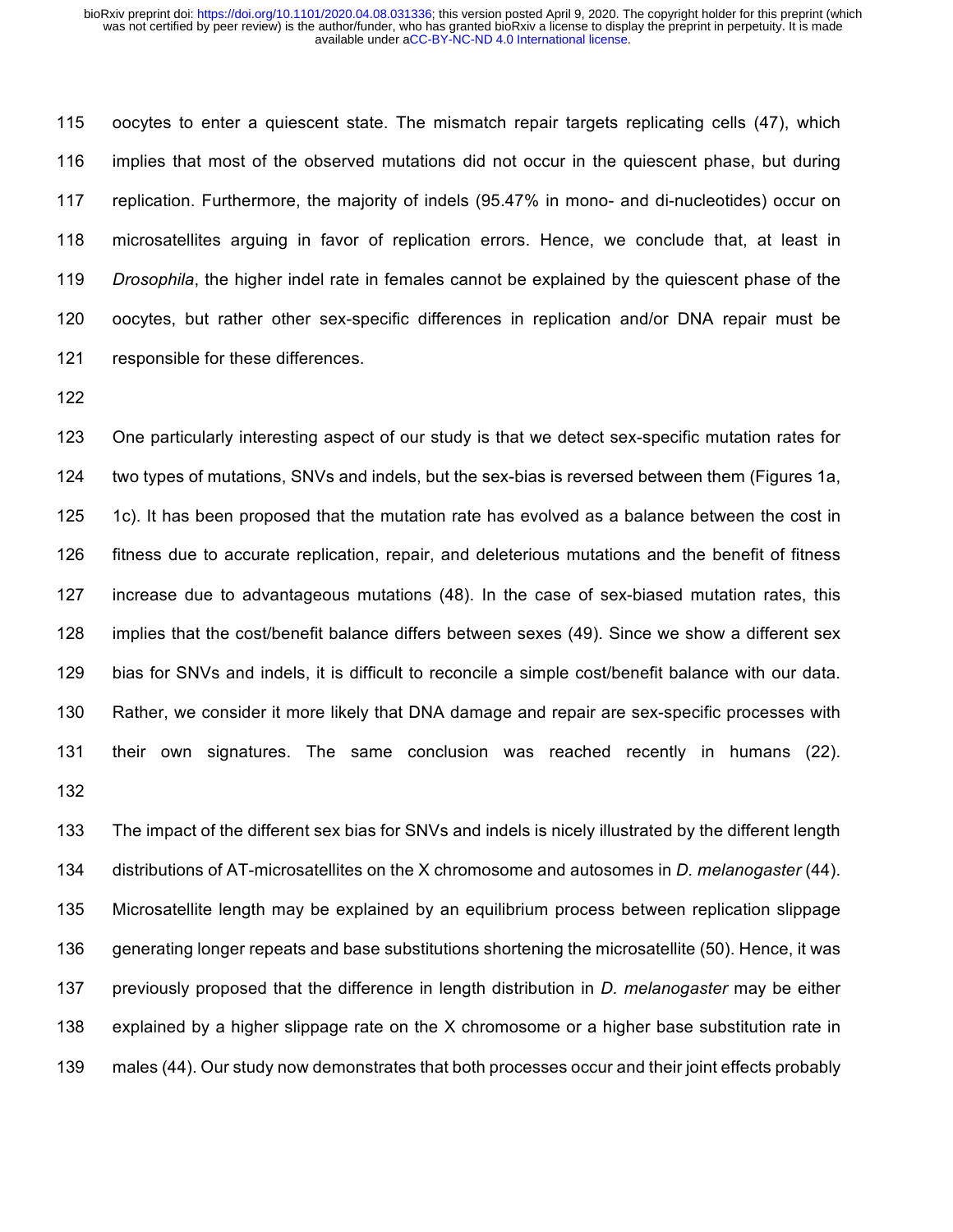oocytes to enter a quiescent state. The mismatch repair targets replicating cells (47), which implies that most of the observed mutations did not occur in the quiescent phase, but during replication. Furthermore, the majority of indels (95.47% in mono- and di-nucleotides) occur on microsatellites arguing in favor of replication errors. Hence, we conclude that, at least in *Drosophila*, the higher indel rate in females cannot be explained by the quiescent phase of the oocytes, but rather other sex-specific differences in replication and/or DNA repair must be responsible for these differences.

 One particularly interesting aspect of our study is that we detect sex-specific mutation rates for two types of mutations, SNVs and indels, but the sex-bias is reversed between them (Figures 1a, 1c). It has been proposed that the mutation rate has evolved as a balance between the cost in fitness due to accurate replication, repair, and deleterious mutations and the benefit of fitness increase due to advantageous mutations (48). In the case of sex-biased mutation rates, this implies that the cost/benefit balance differs between sexes (49). Since we show a different sex bias for SNVs and indels, it is difficult to reconcile a simple cost/benefit balance with our data. Rather, we consider it more likely that DNA damage and repair are sex-specific processes with their own signatures. The same conclusion was reached recently in humans (22). 

 The impact of the different sex bias for SNVs and indels is nicely illustrated by the different length distributions of AT-microsatellites on the X chromosome and autosomes in *D. melanogaster* (44). Microsatellite length may be explained by an equilibrium process between replication slippage generating longer repeats and base substitutions shortening the microsatellite (50). Hence, it was previously proposed that the difference in length distribution in *D. melanogaster* may be either explained by a higher slippage rate on the X chromosome or a higher base substitution rate in males (44). Our study now demonstrates that both processes occur and their joint effects probably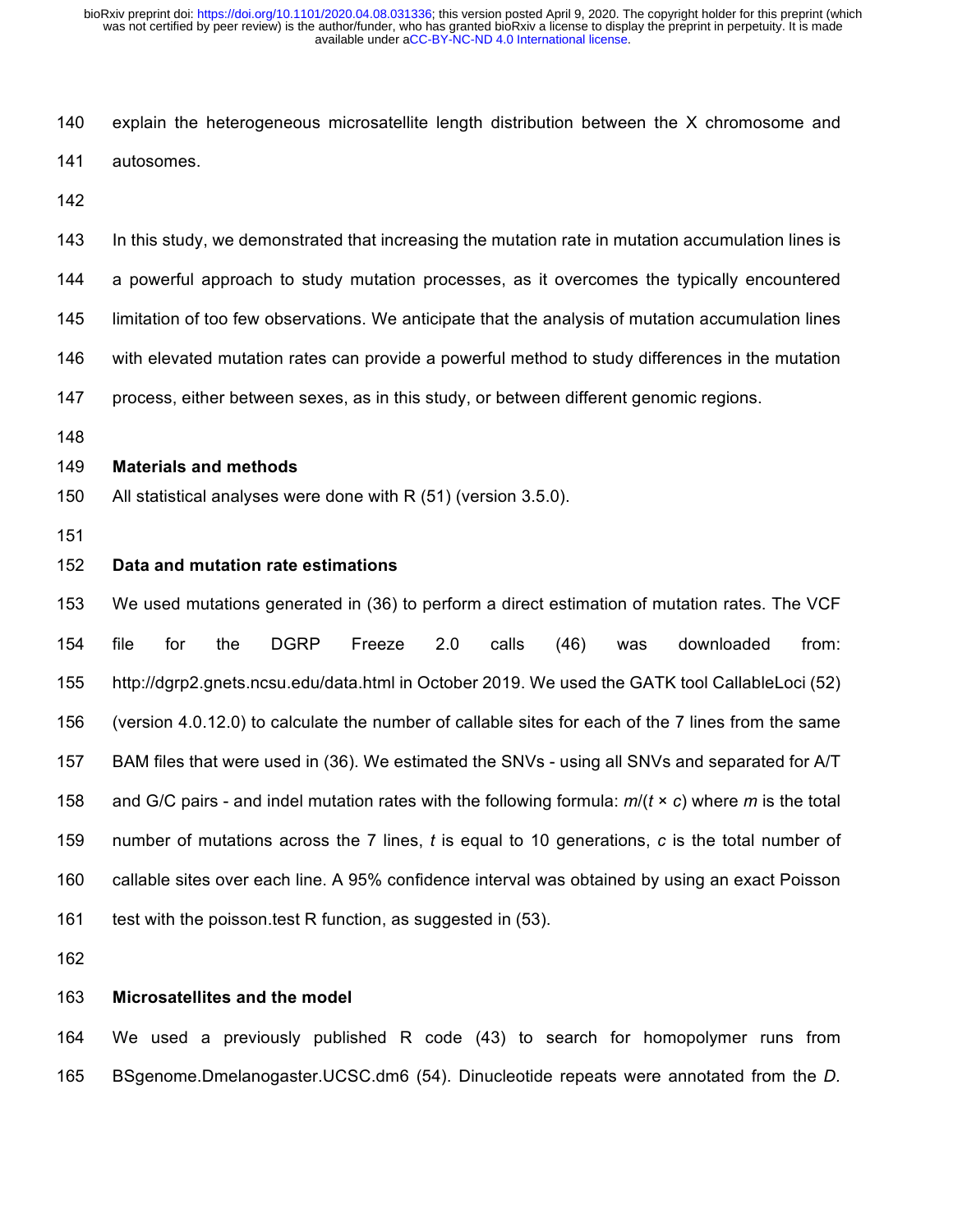explain the heterogeneous microsatellite length distribution between the X chromosome and autosomes.

 In this study, we demonstrated that increasing the mutation rate in mutation accumulation lines is a powerful approach to study mutation processes, as it overcomes the typically encountered limitation of too few observations. We anticipate that the analysis of mutation accumulation lines with elevated mutation rates can provide a powerful method to study differences in the mutation process, either between sexes, as in this study, or between different genomic regions.

#### **Materials and methods**

- All statistical analyses were done with R (51) (version 3.5.0).
- 

## **Data and mutation rate estimations**

 We used mutations generated in (36) to perform a direct estimation of mutation rates. The VCF file for the DGRP Freeze 2.0 calls (46) was downloaded from: http://dgrp2.gnets.ncsu.edu/data.html in October 2019. We used the GATK tool CallableLoci (52) (version 4.0.12.0) to calculate the number of callable sites for each of the 7 lines from the same BAM files that were used in (36). We estimated the SNVs - using all SNVs and separated for A/T and G/C pairs - and indel mutation rates with the following formula: *m*/(*t* × *c*) where *m* is the total number of mutations across the 7 lines, *t* is equal to 10 generations, *c* is the total number of callable sites over each line. A 95% confidence interval was obtained by using an exact Poisson 161 test with the poisson.test R function, as suggested in (53).

#### **Microsatellites and the model**

 We used a previously published R code (43) to search for homopolymer runs from BSgenome.Dmelanogaster.UCSC.dm6 (54). Dinucleotide repeats were annotated from the *D.*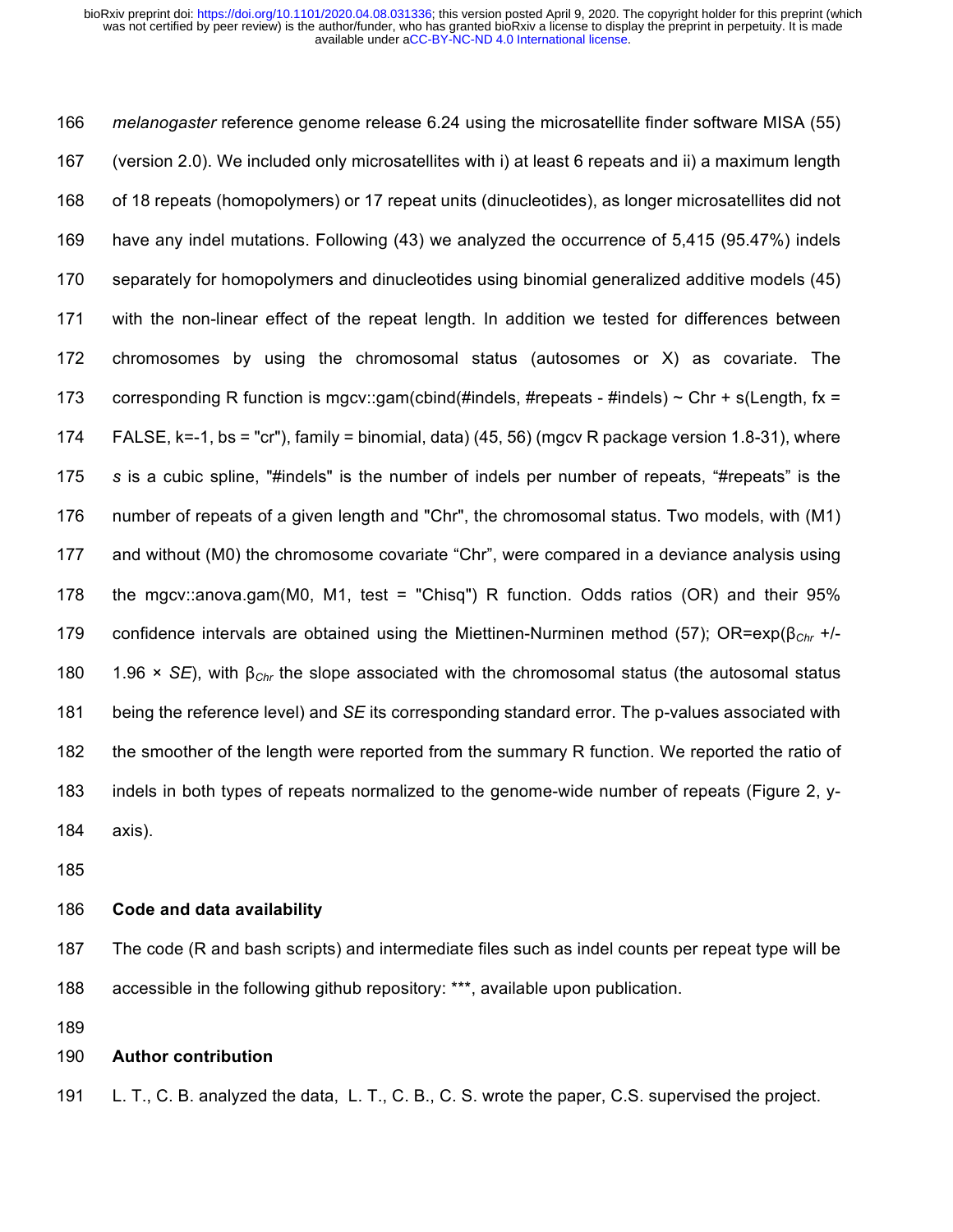*melanogaster* reference genome release 6.24 using the microsatellite finder software MISA (55) (version 2.0). We included only microsatellites with i) at least 6 repeats and ii) a maximum length of 18 repeats (homopolymers) or 17 repeat units (dinucleotides), as longer microsatellites did not have any indel mutations. Following (43) we analyzed the occurrence of 5,415 (95.47%) indels separately for homopolymers and dinucleotides using binomial generalized additive models (45) with the non-linear effect of the repeat length. In addition we tested for differences between chromosomes by using the chromosomal status (autosomes or X) as covariate. The 173 corresponding R function is mgcv::gam(cbind(#indels, #repeats - #indels)  $\sim$  Chr + s(Length, fx = FALSE, k=-1, bs = "cr"), family = binomial, data) (45, 56) (mgcv R package version 1.8-31), where *s* is a cubic spline, "#indels" is the number of indels per number of repeats, "#repeats" is the number of repeats of a given length and "Chr", the chromosomal status. Two models, with (M1) and without (M0) the chromosome covariate "Chr", were compared in a deviance analysis using the mgcv::anova.gam(M0, M1, test = "Chisq") R function. Odds ratios (OR) and their 95% confidence intervals are obtained using the Miettinen-Nurminen method (57); OR=exp(β*Chr* +/- 1.96 × *SE*), with β*Chr* the slope associated with the chromosomal status (the autosomal status being the reference level) and *SE* its corresponding standard error. The p-values associated with the smoother of the length were reported from the summary R function. We reported the ratio of indels in both types of repeats normalized to the genome-wide number of repeats (Figure 2, y-axis).

# **Code and data availability**

 The code (R and bash scripts) and intermediate files such as indel counts per repeat type will be accessible in the following github repository: \*\*\*, available upon publication.

## **Author contribution**

L. T., C. B. analyzed the data, L. T., C. B., C. S. wrote the paper, C.S. supervised the project.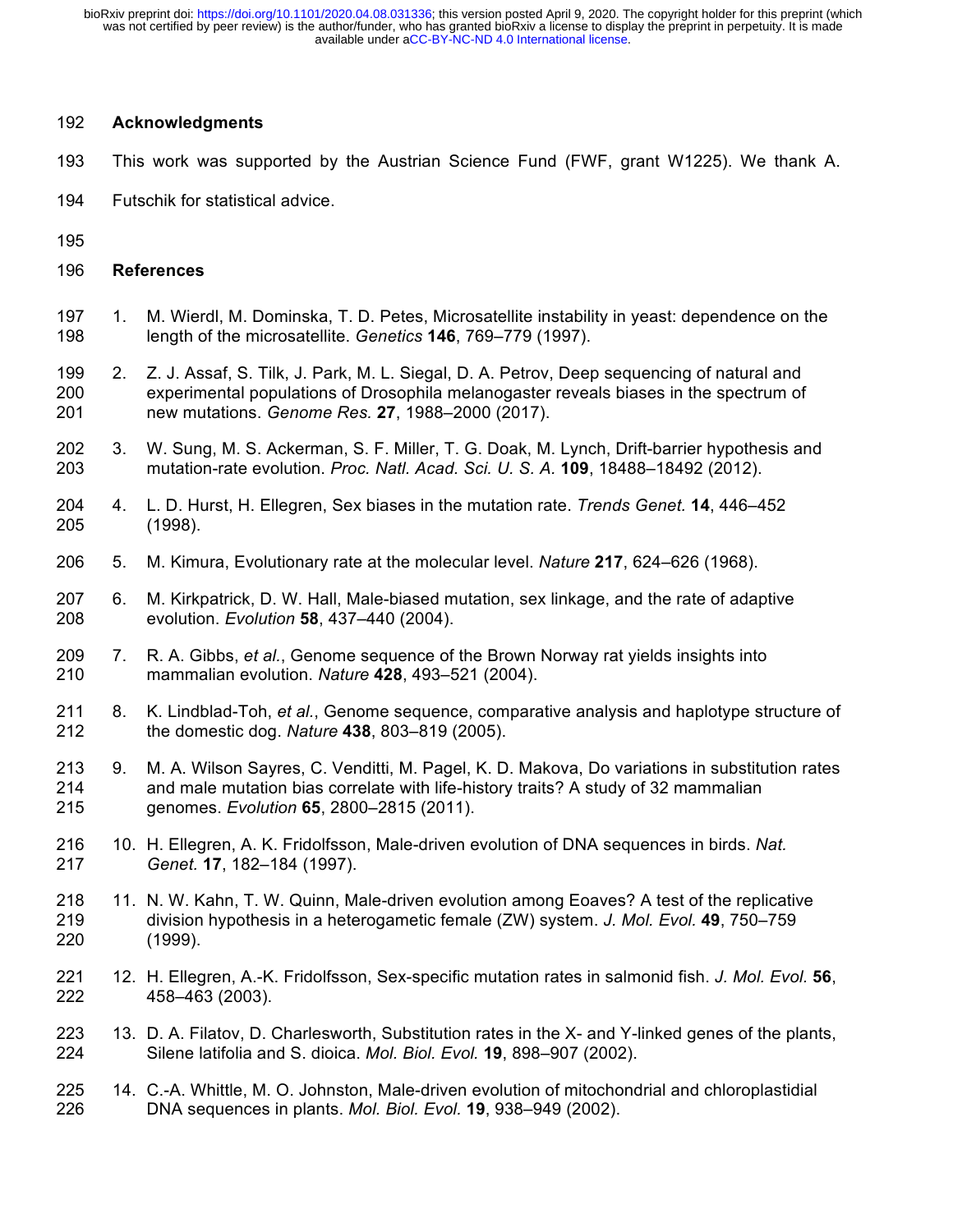# **Acknowledgments**

- This work was supported by the Austrian Science Fund (FWF, grant W1225). We thank A.
- Futschik for statistical advice.
- 
- **References**
- 1. M. Wierdl, M. Dominska, T. D. Petes, Microsatellite instability in yeast: dependence on the length of the microsatellite. *Genetics* **146**, 769–779 (1997).
- 2. Z. J. Assaf, S. Tilk, J. Park, M. L. Siegal, D. A. Petrov, Deep sequencing of natural and experimental populations of Drosophila melanogaster reveals biases in the spectrum of new mutations. *Genome Res.* **27**, 1988–2000 (2017).
- 3. W. Sung, M. S. Ackerman, S. F. Miller, T. G. Doak, M. Lynch, Drift-barrier hypothesis and mutation-rate evolution. *Proc. Natl. Acad. Sci. U. S. A.* **109**, 18488–18492 (2012).
- 4. L. D. Hurst, H. Ellegren, Sex biases in the mutation rate. *Trends Genet.* **14**, 446–452 (1998).
- 5. M. Kimura, Evolutionary rate at the molecular level. *Nature* **217**, 624–626 (1968).
- 6. M. Kirkpatrick, D. W. Hall, Male-biased mutation, sex linkage, and the rate of adaptive evolution. *Evolution* **58**, 437–440 (2004).
- 7. R. A. Gibbs, *et al.*, Genome sequence of the Brown Norway rat yields insights into mammalian evolution. *Nature* **428**, 493–521 (2004).
- 8. K. Lindblad-Toh, *et al.*, Genome sequence, comparative analysis and haplotype structure of the domestic dog. *Nature* **438**, 803–819 (2005).
- 9. M. A. Wilson Sayres, C. Venditti, M. Pagel, K. D. Makova, Do variations in substitution rates and male mutation bias correlate with life-history traits? A study of 32 mammalian genomes. *Evolution* **65**, 2800–2815 (2011).
- 10. H. Ellegren, A. K. Fridolfsson, Male-driven evolution of DNA sequences in birds. *Nat. Genet.* **17**, 182–184 (1997).
- 218 11. N. W. Kahn, T. W. Quinn, Male-driven evolution among Eoaves? A test of the replicative division hypothesis in a heterogametic female (ZW) system. *J. Mol. Evol.* **49**, 750–759 (1999).
- 12. H. Ellegren, A.-K. Fridolfsson, Sex-specific mutation rates in salmonid fish. *J. Mol. Evol.* **56**, 458–463 (2003).
- 13. D. A. Filatov, D. Charlesworth, Substitution rates in the X- and Y-linked genes of the plants, Silene latifolia and S. dioica. *Mol. Biol. Evol.* **19**, 898–907 (2002).
- 14. C.-A. Whittle, M. O. Johnston, Male-driven evolution of mitochondrial and chloroplastidial DNA sequences in plants. *Mol. Biol. Evol.* **19**, 938–949 (2002).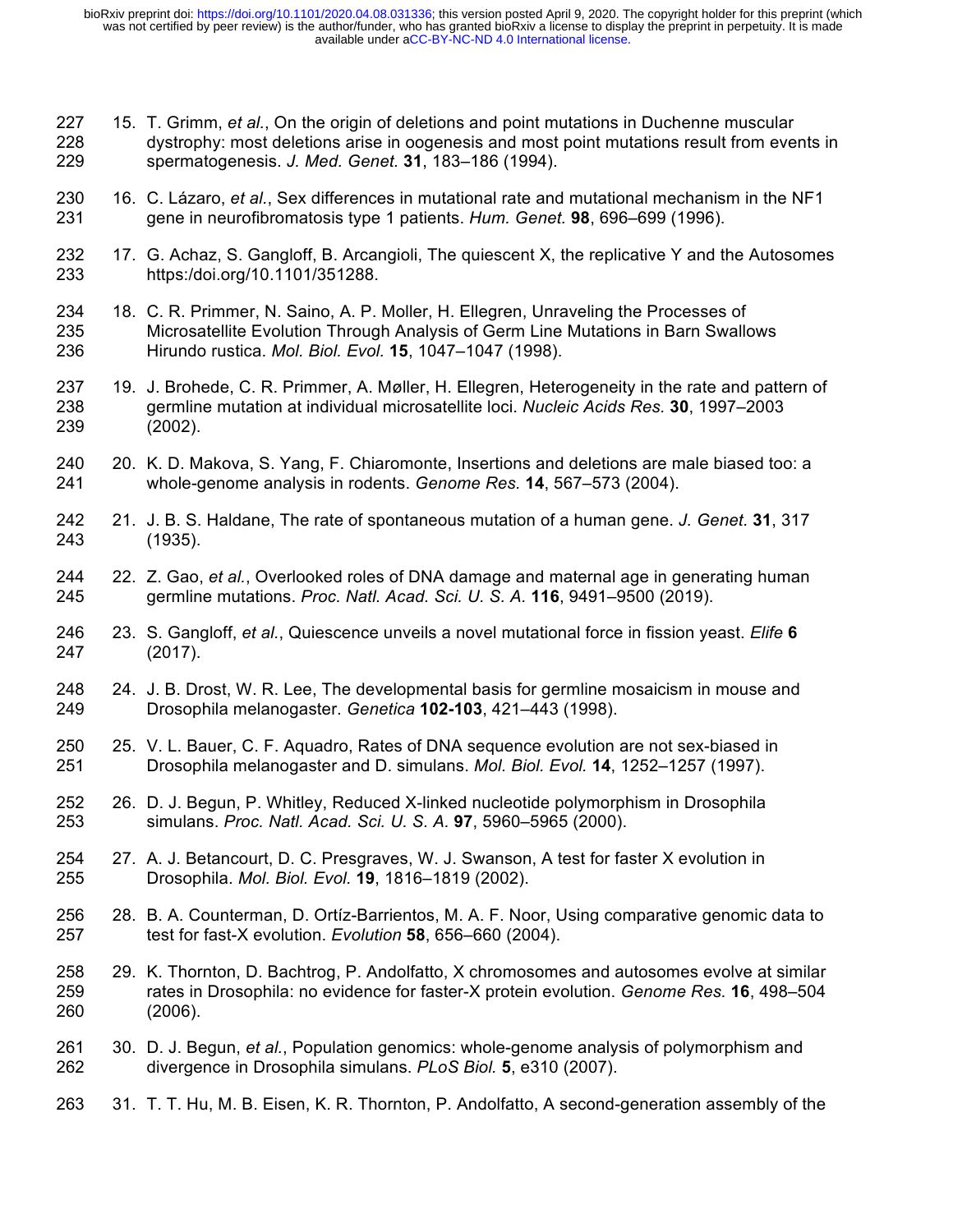- 15. T. Grimm, *et al.*, On the origin of deletions and point mutations in Duchenne muscular dystrophy: most deletions arise in oogenesis and most point mutations result from events in spermatogenesis. *J. Med. Genet.* **31**, 183–186 (1994).
- 16. C. Lázaro, *et al.*, Sex differences in mutational rate and mutational mechanism in the NF1 gene in neurofibromatosis type 1 patients. *Hum. Genet.* **98**, 696–699 (1996).
- 17. G. Achaz, S. Gangloff, B. Arcangioli, The quiescent X, the replicative Y and the Autosomes https:/doi.org/10.1101/351288.
- 18. C. R. Primmer, N. Saino, A. P. Moller, H. Ellegren, Unraveling the Processes of Microsatellite Evolution Through Analysis of Germ Line Mutations in Barn Swallows Hirundo rustica. *Mol. Biol. Evol.* **15**, 1047–1047 (1998).
- 19. J. Brohede, C. R. Primmer, A. Møller, H. Ellegren, Heterogeneity in the rate and pattern of germline mutation at individual microsatellite loci. *Nucleic Acids Res.* **30**, 1997–2003 (2002).
- 20. K. D. Makova, S. Yang, F. Chiaromonte, Insertions and deletions are male biased too: a whole-genome analysis in rodents. *Genome Res.* **14**, 567–573 (2004).
- 21. J. B. S. Haldane, The rate of spontaneous mutation of a human gene. *J. Genet.* **31**, 317 (1935).
- 22. Z. Gao, *et al.*, Overlooked roles of DNA damage and maternal age in generating human germline mutations. *Proc. Natl. Acad. Sci. U. S. A.* **116**, 9491–9500 (2019).
- 23. S. Gangloff, *et al.*, Quiescence unveils a novel mutational force in fission yeast. *Elife* **6** (2017).
- 24. J. B. Drost, W. R. Lee, The developmental basis for germline mosaicism in mouse and Drosophila melanogaster. *Genetica* **102-103**, 421–443 (1998).
- 25. V. L. Bauer, C. F. Aquadro, Rates of DNA sequence evolution are not sex-biased in Drosophila melanogaster and D. simulans. *Mol. Biol. Evol.* **14**, 1252–1257 (1997).
- 26. D. J. Begun, P. Whitley, Reduced X-linked nucleotide polymorphism in Drosophila simulans. *Proc. Natl. Acad. Sci. U. S. A.* **97**, 5960–5965 (2000).
- 27. A. J. Betancourt, D. C. Presgraves, W. J. Swanson, A test for faster X evolution in Drosophila. *Mol. Biol. Evol.* **19**, 1816–1819 (2002).
- 28. B. A. Counterman, D. Ortíz-Barrientos, M. A. F. Noor, Using comparative genomic data to test for fast-X evolution. *Evolution* **58**, 656–660 (2004).
- 29. K. Thornton, D. Bachtrog, P. Andolfatto, X chromosomes and autosomes evolve at similar rates in Drosophila: no evidence for faster-X protein evolution. *Genome Res.* **16**, 498–504 (2006).
- 30. D. J. Begun, *et al.*, Population genomics: whole-genome analysis of polymorphism and divergence in Drosophila simulans. *PLoS Biol.* **5**, e310 (2007).
- 31. T. T. Hu, M. B. Eisen, K. R. Thornton, P. Andolfatto, A second-generation assembly of the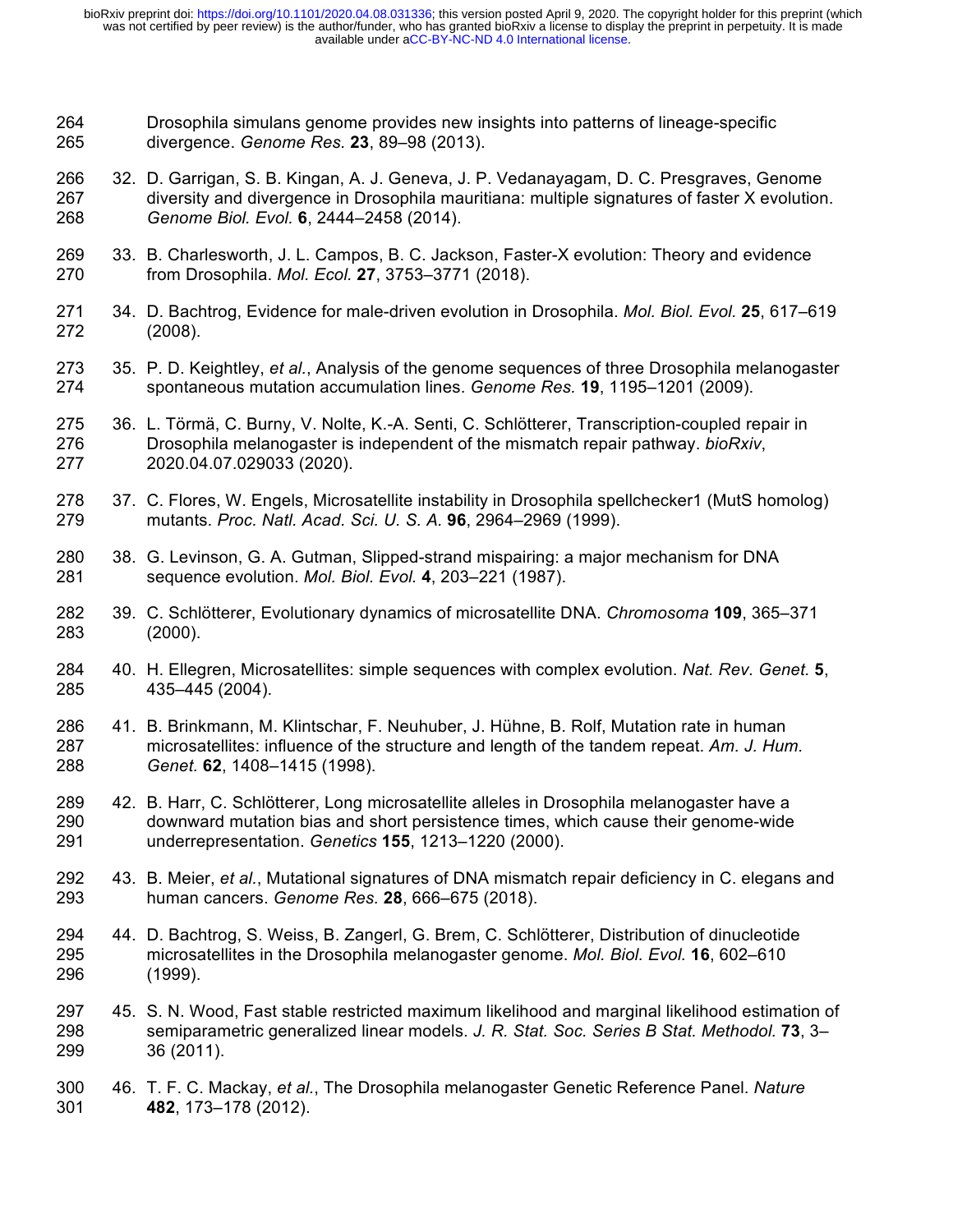- Drosophila simulans genome provides new insights into patterns of lineage-specific divergence. *Genome Res.* **23**, 89–98 (2013).
- 32. D. Garrigan, S. B. Kingan, A. J. Geneva, J. P. Vedanayagam, D. C. Presgraves, Genome diversity and divergence in Drosophila mauritiana: multiple signatures of faster X evolution. *Genome Biol. Evol.* **6**, 2444–2458 (2014).
- 33. B. Charlesworth, J. L. Campos, B. C. Jackson, Faster-X evolution: Theory and evidence from Drosophila. *Mol. Ecol.* **27**, 3753–3771 (2018).
- 34. D. Bachtrog, Evidence for male-driven evolution in Drosophila. *Mol. Biol. Evol.* **25**, 617–619 (2008).
- 35. P. D. Keightley, *et al.*, Analysis of the genome sequences of three Drosophila melanogaster spontaneous mutation accumulation lines. *Genome Res.* **19**, 1195–1201 (2009).
- 36. L. Törmä, C. Burny, V. Nolte, K.-A. Senti, C. Schlötterer, Transcription-coupled repair in Drosophila melanogaster is independent of the mismatch repair pathway. *bioRxiv*, 2020.04.07.029033 (2020).
- 37. C. Flores, W. Engels, Microsatellite instability in Drosophila spellchecker1 (MutS homolog) mutants. *Proc. Natl. Acad. Sci. U. S. A.* **96**, 2964–2969 (1999).
- 38. G. Levinson, G. A. Gutman, Slipped-strand mispairing: a major mechanism for DNA sequence evolution. *Mol. Biol. Evol.* **4**, 203–221 (1987).
- 39. C. Schlötterer, Evolutionary dynamics of microsatellite DNA. *Chromosoma* **109**, 365–371 (2000).
- 40. H. Ellegren, Microsatellites: simple sequences with complex evolution. *Nat. Rev. Genet.* **5**, 435–445 (2004).
- 41. B. Brinkmann, M. Klintschar, F. Neuhuber, J. Hühne, B. Rolf, Mutation rate in human microsatellites: influence of the structure and length of the tandem repeat. *Am. J. Hum. Genet.* **62**, 1408–1415 (1998).
- 42. B. Harr, C. Schlötterer, Long microsatellite alleles in Drosophila melanogaster have a downward mutation bias and short persistence times, which cause their genome-wide underrepresentation. *Genetics* **155**, 1213–1220 (2000).
- 43. B. Meier, *et al.*, Mutational signatures of DNA mismatch repair deficiency in C. elegans and human cancers. *Genome Res.* **28**, 666–675 (2018).
- 44. D. Bachtrog, S. Weiss, B. Zangerl, G. Brem, C. Schlötterer, Distribution of dinucleotide microsatellites in the Drosophila melanogaster genome. *Mol. Biol. Evol.* **16**, 602–610 (1999).
- 45. S. N. Wood, Fast stable restricted maximum likelihood and marginal likelihood estimation of semiparametric generalized linear models. *J. R. Stat. Soc. Series B Stat. Methodol.* **73**, 3– 36 (2011).
- 46. T. F. C. Mackay, *et al.*, The Drosophila melanogaster Genetic Reference Panel. *Nature* **482**, 173–178 (2012).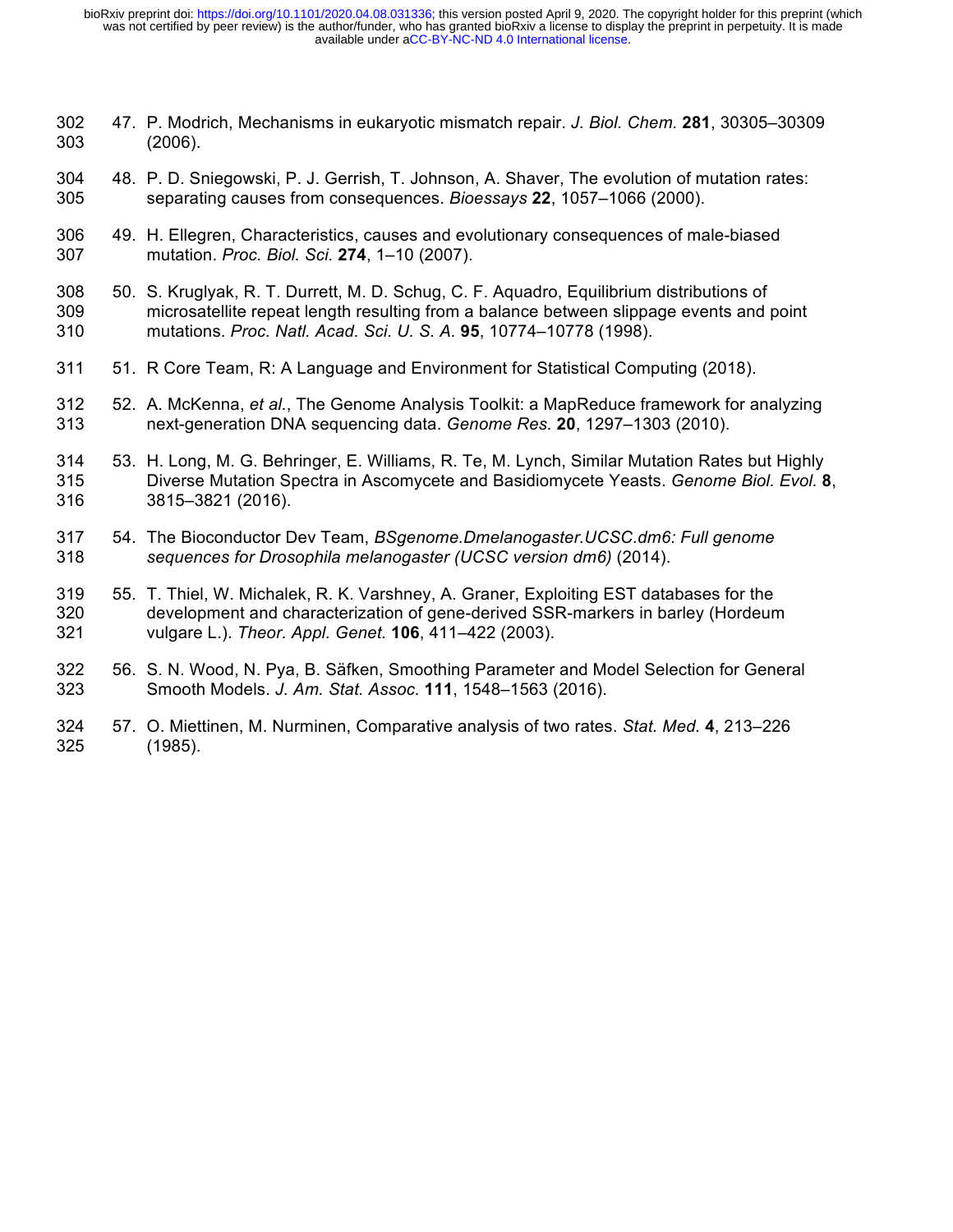- 47. P. Modrich, Mechanisms in eukaryotic mismatch repair. *J. Biol. Chem.* **281**, 30305–30309 (2006).
- 48. P. D. Sniegowski, P. J. Gerrish, T. Johnson, A. Shaver, The evolution of mutation rates: separating causes from consequences. *Bioessays* **22**, 1057–1066 (2000).
- 49. H. Ellegren, Characteristics, causes and evolutionary consequences of male-biased mutation. *Proc. Biol. Sci.* **274**, 1–10 (2007).
- 50. S. Kruglyak, R. T. Durrett, M. D. Schug, C. F. Aquadro, Equilibrium distributions of microsatellite repeat length resulting from a balance between slippage events and point mutations. *Proc. Natl. Acad. Sci. U. S. A.* **95**, 10774–10778 (1998).
- 51. R Core Team, R: A Language and Environment for Statistical Computing (2018).
- 52. A. McKenna, *et al.*, The Genome Analysis Toolkit: a MapReduce framework for analyzing next-generation DNA sequencing data. *Genome Res.* **20**, 1297–1303 (2010).
- 53. H. Long, M. G. Behringer, E. Williams, R. Te, M. Lynch, Similar Mutation Rates but Highly Diverse Mutation Spectra in Ascomycete and Basidiomycete Yeasts. *Genome Biol. Evol.* **8**, 3815–3821 (2016).
- 54. The Bioconductor Dev Team, *BSgenome.Dmelanogaster.UCSC.dm6: Full genome sequences for Drosophila melanogaster (UCSC version dm6)* (2014).
- 55. T. Thiel, W. Michalek, R. K. Varshney, A. Graner, Exploiting EST databases for the development and characterization of gene-derived SSR-markers in barley (Hordeum vulgare L.). *Theor. Appl. Genet.* **106**, 411–422 (2003).
- 56. S. N. Wood, N. Pya, B. Säfken, Smoothing Parameter and Model Selection for General Smooth Models. *J. Am. Stat. Assoc.* **111**, 1548–1563 (2016).
- 57. O. Miettinen, M. Nurminen, Comparative analysis of two rates. *Stat. Med.* **4**, 213–226 (1985).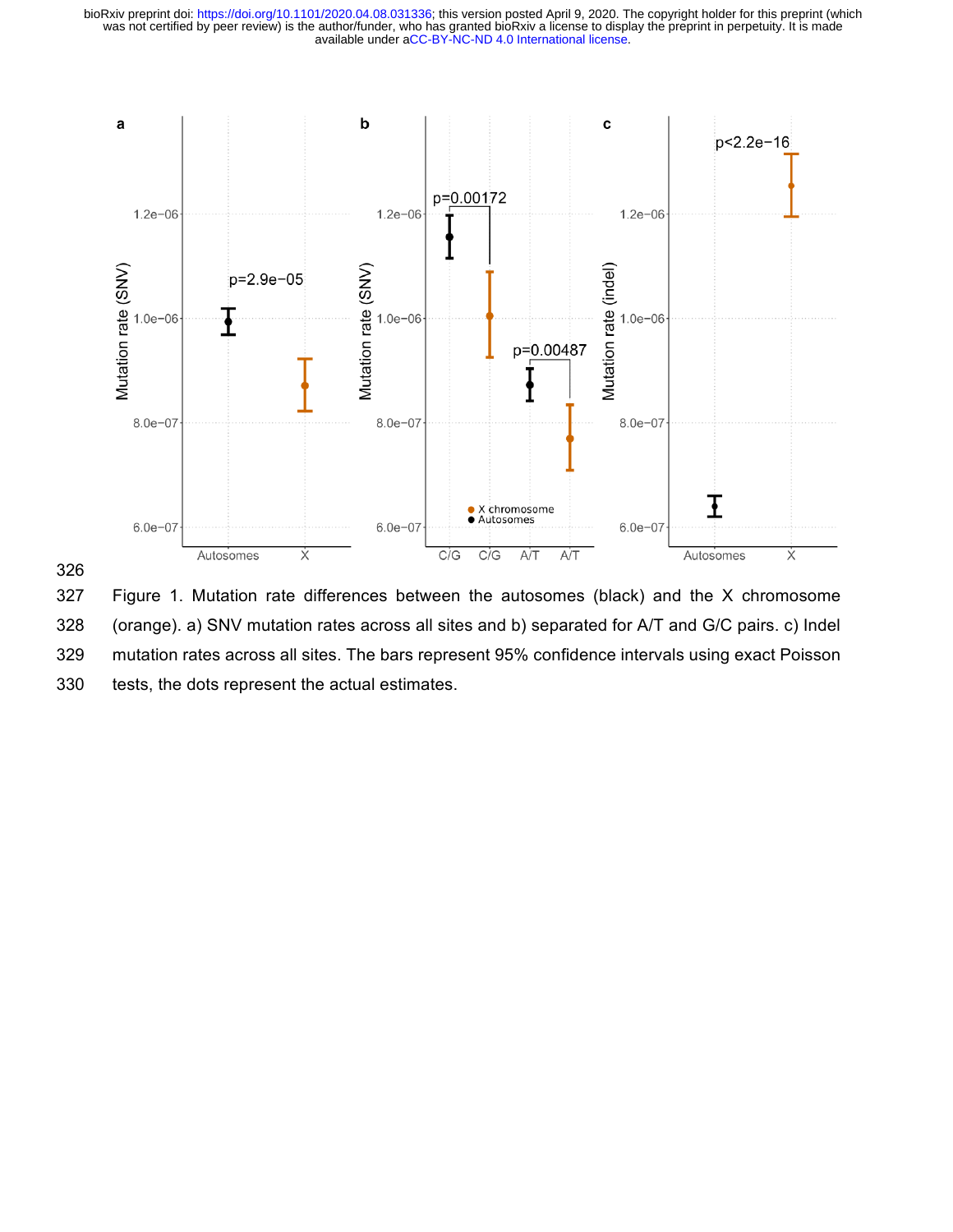



 Figure 1. Mutation rate differences between the autosomes (black) and the X chromosome (orange). a) SNV mutation rates across all sites and b) separated for A/T and G/C pairs. c) Indel mutation rates across all sites. The bars represent 95% confidence intervals using exact Poisson tests, the dots represent the actual estimates.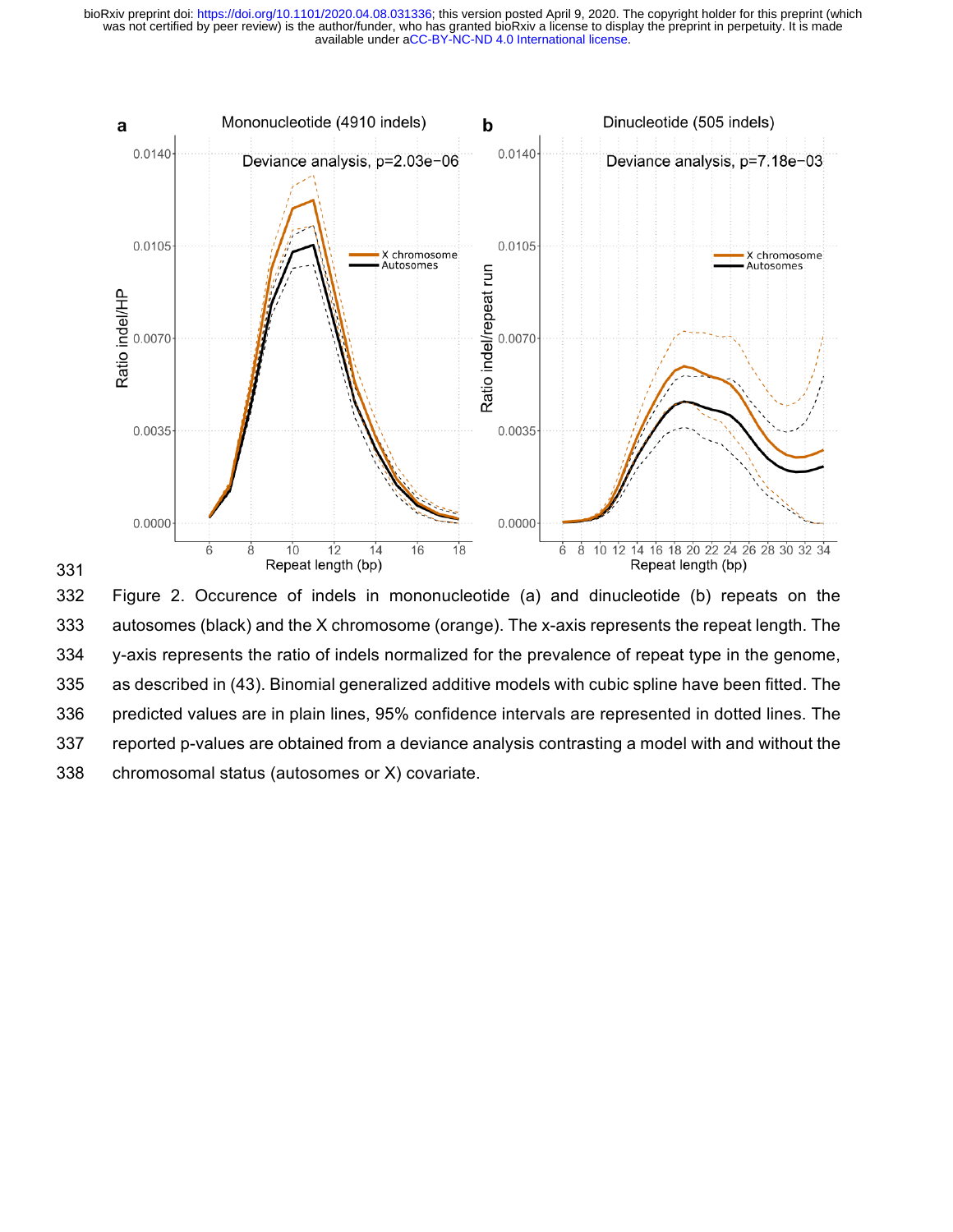

 Figure 2. Occurence of indels in mononucleotide (a) and dinucleotide (b) repeats on the autosomes (black) and the X chromosome (orange). The x-axis represents the repeat length. The y-axis represents the ratio of indels normalized for the prevalence of repeat type in the genome, as described in (43). Binomial generalized additive models with cubic spline have been fitted. The predicted values are in plain lines, 95% confidence intervals are represented in dotted lines. The reported p-values are obtained from a deviance analysis contrasting a model with and without the chromosomal status (autosomes or X) covariate.